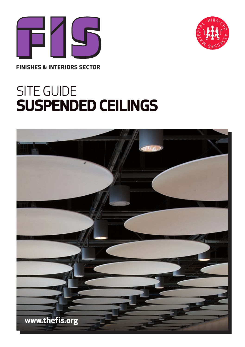



**FINISHES & INTERIORS SECTOR** 

# SITE GUIDE **SUSPENDED CEILINGS**

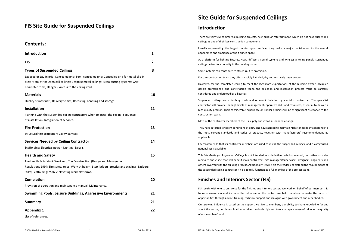# **FIS Site Guide for Suspended Ceilings**

**Contents:**

| טוונכוונא.                                                                                                                                                                                                                                                          |    |
|---------------------------------------------------------------------------------------------------------------------------------------------------------------------------------------------------------------------------------------------------------------------|----|
| <b>Introduction</b>                                                                                                                                                                                                                                                 | 2  |
| <b>FIS</b>                                                                                                                                                                                                                                                          | 2  |
| <b>Types of Suspended Ceilings</b><br>Exposed or Lay-in grid; Concealed grid; Semi-concealed grid; Concealed grid for metal clip-in                                                                                                                                 | 3  |
| tiles; Metal strip; Open cell ceilings; Bespoke metal ceilings; Metal furring systems; Grid;<br>Perimeter trims; Hangers; Access to the ceiling void.                                                                                                               |    |
| <b>Materials</b><br>Quality of materials; Delivery to site; Receiving, handling and storage.                                                                                                                                                                        | 10 |
| <b>Installation</b><br>Planning with the suspended ceiling contractor; When to install the ceiling; Sequence<br>of installation; Integration of services.                                                                                                           | 11 |
| <b>Fire Protection</b><br>Structural fire protection; Cavity barriers.                                                                                                                                                                                              | 13 |
| <b>Services Needed by Ceiling Contractor</b><br>Scaffolding; Electrical power; Lighting; Debris.                                                                                                                                                                    | 14 |
| <b>Health and Safety</b><br>The Health & Safety & Work Act; The Construction (Design and Management)<br>Regulations 1994; Site safety rules; Work at height; Step-ladders, trestles and stagings; Ladders;<br>Stilts; Scaffolding; Mobile elevating work platforms. | 15 |
| Completion<br>Provision of operation and maintenance manual; Maintenance.                                                                                                                                                                                           | 20 |
| Swimming Pools, Leisure Buildings, Aggressive Environments                                                                                                                                                                                                          | 21 |
| Summary                                                                                                                                                                                                                                                             | 21 |
| <b>Appendix 1</b><br>List of references.                                                                                                                                                                                                                            | 22 |
|                                                                                                                                                                                                                                                                     |    |

# **Site Guide for Suspended Ceilings**

# **Introduction**

There are very few commercial building projects, new‐build or refurbishment, which do not have suspended ceilings as one of their key construction components.

Usually representing the largest uninterrupted surface, they make <sup>a</sup> major contribution to the overall appearance and ambience of the finished space.

As a platform for lighting fixtures, HVAC diffusers, sound systems and wireless antenna panels, suspended ceilings deliver functionality to the building owner.

Some systems can contribute to structural fire protection.

For the construction team they offer <sup>a</sup> rapidly installed, dry and relatively clean process.

However, for the completed ceiling to meet the legitimate expectations of the building owner, occupier, design professionals and construction team, the selection and installation process must be carefully considered and understood by all parties.

Suspended ceilings are <sup>a</sup> finishing trade and require installation by specialist contractors. The specialist contractor will provide the high levels of management, operative skills and resources, essential to deliver <sup>a</sup> high quality product. Their considerable experience on similar projects will be of significant assistance to the construction team.

Most of the contractor members of the FIS supply and install suspended ceilings.

They have satisfied stringent conditions of entry and have agreed to maintain high standards by adherence to the most current standards and codes of practice, together with manufacturers' recommendations as applicable.

FIS recommends that its contractor members are used to install the suspended ceilings, and <sup>a</sup> categorised national list is available.

This *Site Guide for Suspended Ceilings* is not intended as <sup>a</sup> definitive technical manual, but rather an aide‐ mémoire and guide that will benefit main contractors, site managers/supervisors, designers, engineers and others involved with the building process. Additionally, it will help the reader understand the requirements of the suspended ceiling contractor if he is to fully function as <sup>a</sup> full member of the project team.

# **Finishes and Interiors Sector (FIS)**

FIS speaks with one strong voice for the finishes and interiors sector. We work on behalf of our membership to raise awareness and increase the influence of the sector. We help members to make the most of opportunities through advice, training, technical support and dialogue with government and other bodies.

Our growing influence is based on the support we give to members, our ability to share knowledge for and about the sector, our determination to drive standards high and to encourage <sup>a</sup> sense of pride in the quality of our members' work.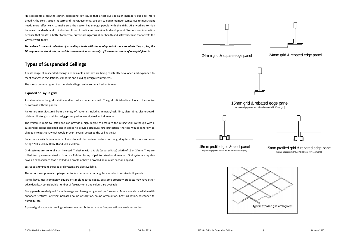FIS represents <sup>a</sup> growing sector, addressing key issues that affect our specialist members but also, more broadly, the construction industry and the UK economy. We aim to equip member companies to meet client needs more effectively, to make sure the sector has enough people with the right skills working to high technical standards, and to imbed <sup>a</sup> culture of quality and sustainable development. We focus on innovation because that creates <sup>a</sup> better tomorrow, but we are rigorous about health and safety because that affects the way we work today.

To achieve its overall objective of providing clients with the quality installations to which they aspire, the FIS requires the standards, materials, service and workmanship of its members to be of a very high order.

# **Types of Suspended Ceilings**

A wide range of suspended ceilings are available and they are being constantly developed and expanded to meet changes in regulations, standards and building design requirements.

The most common types of suspended ceilings can be summarised as follows.

# **Exposed or Lay‐in grid**

A system where the grid is visible and into which panels are laid. The grid is finished in colours to harmonise or contrast with the panels.

Panels are manufactured from <sup>a</sup> variety of materials including mineral/rock fibre, glass fibre, plasterboard, calcium silicate, glass reinforced gypsum, perlite, wood, steel and aluminium.

The system is rapid to install and can provide <sup>a</sup> high degree of access to the ceiling void. (Although with <sup>a</sup> suspended ceiling designed and installed to provide structural fire protection, the tiles would generally be clipped into position, which would prevent overall access to the ceiling void.)

Panels are available in <sup>a</sup> variety of sizes to suit the modular features of the grid system. The more common being 1200 <sup>x</sup> 600, 600 <sup>x</sup> 600 and 500 <sup>x</sup> 500mm.

Grid systems are, generally, an inverted 'T' design, with <sup>a</sup> table (exposed face) width of 15 or 24mm. They are rolled from galvanised steel strip with <sup>a</sup> finished facing of painted steel or aluminium. Grid systems may also have an exposed face that is rolled to <sup>a</sup> profile or have <sup>a</sup> profiled aluminium section applied.

Extruded aluminium exposed grid systems are also available.

The various components clip together to form square or rectangular modules to receive infill panels.

Panels have, most commonly, square or simple rebated edges, but some propriety products may have other edge details. A considerable number of face patterns and colours are available.

Many panels are designed for wide usage and have good general performance. Panels are also available with enhanced features, offering increased sound absorption, sound attenuation, heat insulation, resistance to humidity, etc.

Exposed grid suspended ceiling systems can contribute to passive fire protection – see later section.

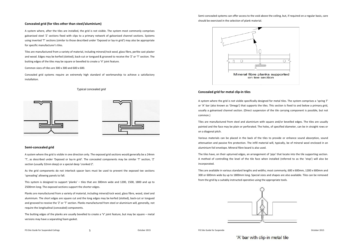# Semi-concealed systems can offer access to the void above the ceiling, but, if required on a regular basis, care should be exercised in the selection of plank material.

## **Concealed grid (for tiles other than steel/aluminium)**

A system where, after the tiles are installed, the grid is not visible. The system most commonly comprises galvanised steel 'Z' sections fixed with clips to <sup>a</sup> primary network of galvanised channel sections. Systems using inverted 'T' sections (similar to those described under 'Exposed or lay‐in grid') may also be appropriate for specific manufacturer's tiles.

Tiles are manufactured from <sup>a</sup> variety of material, including mineral/rock wool, glass fibre, perlite cast plaster and wood. Edges may be kerfed (slotted), back‐cut or tongued & grooved to receive the 'Z' or 'T' section. The butting edges of the tiles may be square or bevelled to create <sup>a</sup> 'V' joint feature.

Common sizes of tiles are 300 <sup>x</sup> 300 and 600 <sup>x</sup> 600.

Concealed grid systems require an extremely high standard of workmanship to achieve <sup>a</sup> satisfactory installation.

## *Typical concealed grid*





#### **Semi‐concealed grid**

A system where the grid is visible in one direction only. The exposed grid sections would generally be <sup>a</sup> 24mm 'T', as described under 'Exposed or lay‐in grid'. The concealed components may be similar 'T' section, 'Z' section (usually 32mm deep) or <sup>a</sup> special deep 'cranked Z'.

As the grid components do not interlock spacer bars must be used to prevent the exposed tee sections 'spreading' allowing panels to fall.

This system is designed to support 'planks' – tiles that are 300mm wide and 1200, 1500, 1800 and up to 2500mm long. The exposed sections support the shorter edges.

Planks are manufactured from <sup>a</sup> variety of material, including mineral/rock wool, glass fibre, wood, steel and aluminium. The short edges are square cut and the long edges may be kerfed (slotted), back‐cut or tongued and grooved to receive the 'Z' or 'T' section. Planks manufactured from steel or aluminium will, generally, not require the longitudinal (concealed) components.

The butting edges of the planks are usually bevelled to create <sup>a</sup> 'V' joint feature, but may be square – metal versions may have <sup>a</sup> separating foam gasket.



#### **Concealed grid for metal clip‐in tiles**

A system where the grid is not visible specifically designed for metal tiles. The system comprises <sup>a</sup> 'spring T' or 'A' bar (also known as 'Omega') that supports the tiles. This section is fixed to and below <sup>a</sup> primary grid, usually <sup>a</sup> galvanised channel section. (Direct suspension of the tile carrying component is possible, but not common.)

Tiles are manufactured from steel and aluminium with square and/or bevelled edges. The tiles are usually painted and the face may be plain or perforated. The holes, of specified diameter, can be in straight rows or on <sup>a</sup> diagonal pitch.

Various materials can be placed in the back of the tiles to provide or enhance sound absorption, sound attenuation and passive fire protection. The infill material will, typically, be of mineral wool enclosed in an aluminium foil envelope. Mineral fibre board is also used.

The tiles have, on their upturned edges, an arrangement of 'pips' that locate into the tile supporting section. A method of controlling the level of the tile face when installed (referred to as the 'stop') will also be incorporated.

Tiles are available in various standard lengths and widths; most commonly, 600 <sup>x</sup> 600mm, 1200 <sup>x</sup> 600mm and 300 or 600mm wide by up to 1800mm long. Special sizes and shapes are also available. Tiles can be removed from the grid by <sup>a</sup> suitably instructed operative using the appropriate tools.



'A' bar with clip-in metal tile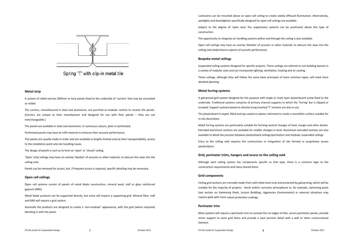

Spring 'T' with clip-in metal tile

#### **Metal strip**

A system of rolled narrow (300mm or less) panels fixed to the underside of 'carriers' that may be concealed or visible.

The carriers, manufactured in steel and aluminium, are punched at modular centres to receive the panels. (Carriers are unique to their manufacturer and designed for use with their panels – they are not interchangeable.)

The panels are available in steel and aluminium, in numerous colours, plain or perforated.

Perforated panels may have an infill material to enhance their acoustic performance.

The panels are usually made to order and are available in lengths limited only by their transportability, access to the installation point and site handling issues.

The design of panels is such as to form an 'open' or 'closed' ceiling.

'Open' strip ceilings may have an overlay 'blanket' of acoustic or other material, to obscure the view into the ceiling void.

Panels can be removed for access, but, if frequent access is required, specific detailing may be necessary.

#### **Open cell ceilings**

Open cell systems consist of panels of metal blade construction, mineral wool, mdf or glass reinforced gypsum (GRG).

Metal blade products can be supported directly, but some will require <sup>a</sup> supporting grid. Mineral fibre, mdf and GRG will require <sup>a</sup> grid system.

Generally the products are designed to create <sup>a</sup> 'non‐modular' appearance, with the grid (where required) blending in with the panel.

Luminaires can be mounted above an open cell ceiling to create widely diffused illumination. Alternatively, spotlights and downlighters specifically designed for open cell ceilings are available.

Subject to the degree of 'open area' fire suppression systems can be positioned above this type of construction.

The opportunity to integrate air handling systems within and through the ceiling is also available.

Open cell ceilings may have an overlay 'blanket' of acoustic or other material, to obscure the view into the ceiling void and/enhance aspects of acoustic performance.

### **Bespoke metal ceilings**

Suspended ceiling systems designed for specific projects. These ceilings are tailored to suit building layouts in a variety of modules sizes and can incorporate lighting, ventilation, heating and air cooling.

These ceilings, although they will follow the same basis principals of more common types, will need more detailed planning.

#### **Metal furring systems**

A galvanised grid system designed for the purpose with single or multi layer plasterboard screw fixed to the underside. Traditional systems comprise of primary channel supports to which the 'furring' bar is clipped or screwed. Support systems based on directly hung inverted 'T' sections are also in use.

The plasterboard is taped, filled and top coated or plaster skimmed to create <sup>a</sup> monolithic surface suitable for in‐situ decoration.

Metal furring systems are particularly suitable for forming vertical changes of level, margin and other details. Extruded aluminium sections are available for smaller changes in level. Aluminium extruded sections are also available to detail the junction between plasterboard ceilings/perimeters and modular suspended ceilings

Entry to the ceiling void requires the construction or integration of site formed or proprietary access panels/doors.

## **Grid, perimeter trims, hangers and access to the ceiling void**

Although each ceiling system has components specific to that type, there is <sup>a</sup> common logic to the construction requirements and many shared items.

#### **Grid components**

Ceiling grid sections are normally made from cold rolled steel strip and protected by galvanising, which will be suitable for the majority of projects. Harsh and/or corrosive atmospheres in, for example, swimming pools (see section on *Swimming Pools, Leisure Buildings, Aggressive Environments*) or external situations may require grids with more robust protective coatings.

#### **Perimeter trim**

Most systems will require <sup>a</sup> perimeter trim to conceal the cut edges of tiles, secure perimeter panels, provide minor support to some grid items and provide <sup>a</sup> neat junction detail with <sup>a</sup> wall or other constructional element.

FIS Site Guide for Suspended Ceilings 8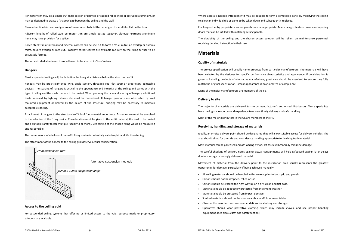Perimeter trim may be <sup>a</sup> simple 90° angle section of painted or capped rolled steel or extruded aluminium, or may be designed to create <sup>a</sup> 'shadow' gap between the ceiling and the wall.

Channel section trim and wedges are often required to hold the cut edges of metal tiles flat on the trim.

Adjacent lengths of rolled steel perimeter trim are simply butted together, although extruded aluminium items may have provision for <sup>a</sup> splice.

Rolled steel trim at internal and external corners can be site cut to form <sup>a</sup> 'true' mitre, an overlap or dummy mitre, square overlap or butt cut. Propriety corner covers are available but rely on the fixing surface to be accurately formed.

Thicker extruded aluminium trims will need to be site cut to 'true' mitres.

## **Hangers**

Most suspended ceilings will, by definition, be hung at <sup>a</sup> distance below the structural soffit.

Hangers may be pre‐straightened wire, angle section, threaded rod, flat strap or proprietary adjustable devices. The spacing of hangers is critical to the appearance and integrity of the ceiling and varies with the type of ceiling and the loads that are to be carried. When planning the type and spacing of hangers, additional loads imposed by lighting fixtures etc must be considered. If hanger positions are obstructed by void mounted equipment or limited by the design of the structure, bridging may be necessary to maintain acceptable spacing.

Attachment of hangers to the structural soffit is of fundamental importance. Extreme care must be exercised in the selection of the fixing device. Consideration must be given to the soffit material, the load to be carried and <sup>a</sup> suitable safety factor multiple (usually 3 or more). Site testing of the chosen fixing would be reassuring and responsible.

The consequence of <sup>a</sup> failure of the soffit fixing device is potentially catastrophic and life threatening. The attachment of the hanger to the ceiling grid deserves equal consideration.



**Access to the ceiling void**

For suspended ceiling systems that offer no or limited access to the void, purpose made or proprietary solutions are available.

Where access is needed infrequently it may be possible to form <sup>a</sup> removable panel by modifying the ceiling to allow an individual tile or panel to be taken down and subsequently replaced.

For frequent entry proprietary access panels may be appropriate. Many designs feature downward opening doors that can be infilled with matching ceiling panels.

The durability of the ceiling and the chosen access solution will be reliant on maintenance personnel receiving detailed instruction in their use.

# **Materials**

# **Quality of materials**

The project specification will usually name products from particular manufacturers. The materials will have been selected by the designer for specific performance characteristics and appearance. If consideration is given to installing products of alternative manufacture, great care should be exercised to ensure they fully match the original specification. Similar appearance is no guarantee of compliance.

Many of the major manufacturers are members of the FIS.

# **Delivery to site**

The majority of materials are delivered to site by manufacturer's authorised distributors. These specialists have the logistic resources and experience to ensure timely delivery and safe handling.

Most of the major distributors in the UK are members of the FIS.

## **Receiving, handling and storage of materials**

Ideally, an on-site delivery point should be designated that will allow suitable access for delivery vehicles. The area should allow for the safe and considerate handling appropriate to finishing trade material.

Most material can be palletised and off‐loading by fork‐lift truck will generally minimise damage.

The careful checking of delivery notes against actual consignments will help safeguard against later delays due to shortage or wrongly delivered material.

Movement of material from the delivery point to the installation area usually represents the greatest opportunity for damage, particularly if being achieved manually.

- All ceiling materials should be handled with care applies to both grid and panels.
- Cartons should not be dropped, rolled or slid.
- Cartons should be stacked the right way up on <sup>a</sup> dry, clean and flat base.
- Materials should be adequately protected from inclement weather.
- Materials should be protected from impact damage.
- Stacked materials should not be used as ad‐hoc scaffold or mess tables.
- Observe the manufacturer's recommendations for stacking and storage.
- Operatives should wear protective clothing, which may include gloves, and use proper handling equipment. (See also *Health and Safety* section.)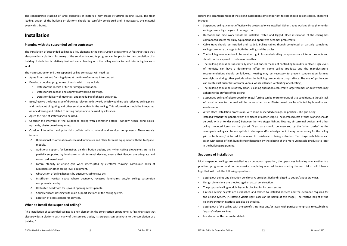The concentrated stacking of large quantities of materials may create structural loading issues. The floor loading design of the building or platform should be carefully considered and, if necessary, the material evenly distributed.

# **Installation**

# **Planning with the suspended ceiling contractor**

The installation of suspended ceilings is <sup>a</sup> key element in the construction programme. A finishing trade that also provides <sup>a</sup> platform for many of the services trades, its progress can be pivotal to the completion of <sup>a</sup> building. Installation is relatively fast and early planning with the ceiling contractor and interfacing trades is vital.

The main contractor and the suspended ceiling contractor will need to:

- Agree firm start and finishing dates at the time of entering into contract.
- $\sim$  Develop <sup>a</sup> detailed programme of work, which may include:
	- o Dates for the receipt of further design information.
	- o Dates for production and approval of working drawings.
	- o Dates for delivery of materials, and scheduling of phased deliveries.
- ٠ Issue/receive the latest issue of drawings relevant to his work, which would include reflected ceiling plans and the layout of lighting and other services outlets in the ceiling. This information should be integrated on one drawing and related to setting out points to be used by all trades.
- Agree the type of soffit fixing to be used.
- Consider the interface of the suspended ceiling with perimeter details window heads, blind boxes, upstands, plasterboard margins etc.
- Consider interaction and potential conflicts with structural and services components. These usually include:
	- o Dimensional co‐ordination of recessed luminaires and other terminal equipment with the tile/panel module.
	- o Additional support for luminaires, air distribution outlets, etc. When ceiling tiles/panels are to be partially supported by luminaires or air terminal devices, ensure that flanges are adequate and correctly dimensioned.
	- o Lateral stability of ceiling grid when interrupted by electrical trunking, continuous rows of luminaires or other ceiling level equipment.
	- oObstruction of ceiling hangers by ductwork, cable trays etc.
	- o Insufficient vertical space where ductwork, recessed luminaires and/or ceiling suspension components overlap.
	- oRestricted headroom for upward opening access panels.
	- oSprinkler heads clashing with main support sections of the ceiling system.
	- o Location of access panels for services.

## **When to install the suspended ceiling?**

'The installation of suspended ceilings is <sup>a</sup> key element in the construction programme. A finishing trade that also provides <sup>a</sup> platform with many of the services trades, its progress can be pivotal to the completion of <sup>a</sup> building.'

FIS Site Guide for Suspended Ceilings 11

Before the commencement of the ceiling installation some important factors should be considered. These will include:

- Suspended ceilings cannot effectively be protected once installed. Other trades working through or under ceilings pose <sup>a</sup> high degree of damage risk.
- Ductwork and pipe work should be installed, tested and lagged. Once installation of the ceiling has commenced access for bulky equipment and operatives becomes problematic.
- Cable trays should be installed and loaded. Pulling cables though completed or partially completed ceilings can cause damage to both the ceiling and the cables.
- The building envelope should be weather tight. Suspended ceiling components are interior products and should not be exposed to inclement weather.
- The building should be substantially dried out and/or means of controlling humidity in place. High levels of humidity can have <sup>a</sup> detrimental effect on some ceiling products and the manufacturer's recommendations should be followed. Heating may be necessary to prevent condensation forming overnight or during other periods when the building temperature drops. (Note: The use of gas heaters can create vast quantities of water vapour which will need ventilating or collecting.)
- The building should be relatively clean. Cleaning operations can create large volumes of dust which may adhere to the surface of the ceiling.
- Suspended ceiling of plasterboard on metal furring can be more tolerant of site conditions, although lack of casual access to the void will be more of an issue. Plasterboard can be affected by humidity and condensation.
- A two stage installation process can, with some suspended ceilings, be practical. The grid being installed without the panels, which are placed at <sup>a</sup> later stage. (The increased cost of such working should be dealt with at tender stage.) Between the two stages lighting fixtures, air terminal devices and other ceiling mounted items can be placed. Great care should be exercised by the 'other trades' as the incomplete ceiling can be susceptible to damage and/or misalignment. It may be necessary for the ceiling grid to be braced/reinforced to increase its resistance to being disturbed. Two stage installations can assist with issues of high humidity/condensation by the placing of the more vulnerable products to later in the building programme.

## **Sequence of installation**

Most suspended ceilings are installed as <sup>a</sup> continuous operation, the operatives following one another in <sup>a</sup> practiced progression and not necessarily completing one task before starting the next. Most will follow <sup>a</sup> logic that will track the following operations:

- Setting out points and elevation benchmarks are identified and related to design/layout drawings.
- ٠ Design dimensions are checked against actual construction.
- ۰ The proposed ceiling module layout is checked for inconsistencies.
- Finished ceiling heights are established and related to installed services and the clearance required for the ceiling system. (A rotating visible light laser can be useful at this stage.) The relative height of the ceiling/perimeter interface can also be checked.
- ۰ Setting out of the ceiling with the use of string lines and/or lasers with particular emphasis to establishing 'square' reference lines.
- Installation of the perimeter detail.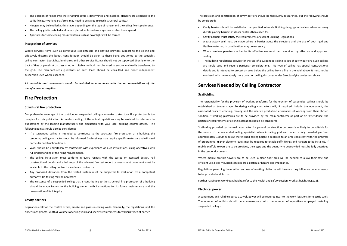- The position of fixings into the structural soffit is determined and installed. Hangers are attached to the soffit fixings. (Working platforms may need to be raised to reach structural soffits.)
- $\sim$ Hangers may be levelled at this stage, depending on the type of hanger and the ceiling fixer's preference.
- ٠ The ceiling grid is installed and panels placed, unless <sup>a</sup> two stage process has been agreed.
- ٠ Apertures for some ceiling mounted items such as downlights will be formed.

## **Integration of services**

Where services items such as continuous slot diffusers and lighting provides support to the ceiling and effectively dictates the layout, consideration should be given to these being positioned by the specialist ceiling contractor. Spotlights, luminaires and other service fittings should not be supported directly onto the back of tiles or panels. A pattress or other suitable method must be used to ensure any load is transferred to the grid. The manufacturer's guidelines on such loads should be consulted and direct independent suspension used where exceeded.

*All materials and components should be installed in accordance with the recommendations of the manufacturer or supplier.*

# **Fire Protection**

#### **Structural fire protection**

Comprehensive coverage of the contribution suspended ceilings can make to structural fire protection is too complex for this publication. An understanding of the actual regulations may be assisted by reference to publications by the leading manufacturers and discussion with your local building control officer. The following points should also be considered:

- If a suspended ceiling is intended to contribute to the structural fire protection of a building, the tendering ceiling contractors must be informed. Such ceilings may require specific materials and will need particular construction details.
- ٠ Work should be undertaken by contractors with experience of such installations, using operatives with full understanding of the fixing requirements.
- The ceiling installation must conform in every respect with the tested or assessed design. Full constructional details and <sup>a</sup> full copy of the relevant fire test report or assessment document must be available to the ceiling contractor and main contractor.
- Any proposed deviation from the tested system must be subjected to evaluation by <sup>a</sup> competent authority. Re-testing may be necessary.
- The existence of <sup>a</sup> suspended ceiling that is contributing to the structural fire protection of <sup>a</sup> building should be made known to the building owner, with instructions for its future maintenance and the preservation of its integrity.

#### **Cavity barriers**

Regulations call for the control of fire, smoke and gases in ceiling voids. Generally, the regulations limit the dimensions (length, width & volume) of ceiling voids and specify requirements for various types of barrier.

The provision and construction of cavity barriers should be thoroughly researched, but the following should be considered:

- Cavity barriers should be installed at the specified intervals. Building design/practical considerations may dictate placing barriers at closer centres than called for.
- Cavity barriers must satisfy the requirements of current Building Regulations.
- A satisfactory seal must be made where <sup>a</sup> barrier abuts the structure and the use of both rigid and flexible materials, in combination, may be necessary.
- Where services penetrate <sup>a</sup> barrier its effectiveness must be maintained by effective and approved sealing.
- The building regulations provide for the use of <sup>a</sup> suspended ceiling in lieu of cavity barriers. Such ceilings are rarely used and require particular considerations. This type of ceiling has special constructional details and is intended to protect an area below the ceiling from <sup>a</sup> fire in the void above. It must not be confused with the relatively more common ceiling discussed under *Structural fire protection* above.

# **Services Needed by Ceiling Contractor**

## **Scaffolding**

The responsibility for the provision of working platforms for the erection of suspended ceilings should be established at tender stage. Tendering ceiling contractors will, if required, include the equipment, the associated costs of erecting, moving and the relative production efficiencies of working from their chosen solution. If working platforms are to be provided by the main contractor as part of his 'attendance' the particular requirements of ceiling installation should be considered.

Scaffolding provided by the main contractor for general construction purposes is unlikely to be suitable for the needs of the suspended ceiling specialist. When installing grid and panels <sup>a</sup> fully boarded platform approximately 1800mm below the finished ceiling height is required to an area consistent with the progress of programme. Higher platform levels may be required to enable soffit fixings and hangers to be installed. If mobile scaffold towers are to be provided, their type and the quantity to be provided must be fully described in the tender documents.

Where mobile scaffold towers are to be used, <sup>a</sup> clear floor area will be needed to allow their safe and efficient use. Floor mounted services are <sup>a</sup> particular hazard and impedance.

Regulations governing the erection and use of working platforms will have <sup>a</sup> strong influence on what needs to be provided and its use.

Further reading on working at height, refer to the Health and Safety section, Work at height (page18).

#### **Electrical power**

A continuous and reliable source 110‐volt power will be required near to the work locations for electric tools. The number of outlets should be commensurate with the number of operatives employed installing suspended ceilings.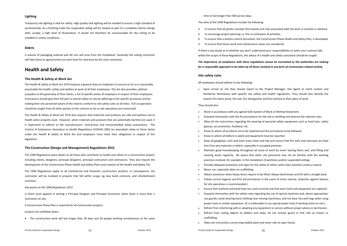## **Lighting**

Temporary site lighting is vital for safety. High quality task lighting will be needed to ensure <sup>a</sup> high standard of workmanship. As <sup>a</sup> finishing trade the suspended ceiling will be viewed as part of <sup>a</sup> complete interior design with, usually, <sup>a</sup> high level of illumination. It would not therefore be unreasonable for the ceiling to be installed in similar conditions.

## **Debris**

A volume of packaging material and off cuts will arise from the installation. Generally the ceiling contractor will take these to agreed points on each level for clearance by the main contractor.

# **Health and Safety**

## **The Health & Safety at Work Act**

The Health & Safety at Work Act 1974 imposes <sup>a</sup> general duty on employers to ensure so far as is reasonably practicable the health, safety and welfare at work of all their employees. The Act also provides, without prejudice to the generality of their duties, <sup>a</sup> list of specific duties of employers in respect of their employees. Contractors should play their full part in overall safety on site by adhering to the specific provisions and by making their site personnel aware of the need to conform to site safety rules at all times. Full co-operation should be sought from all other parties to the contract as far as site operations are concerned.

The Health & Safety at Work Act 1974 also requires that materials and products are safe and without risk to health when properly used. However, when materials and products that are potentially harmful are used, it is imperative to adhere to the manufacturers' instructions and recommended safety precautions. The Control of Substances Hazardous to Health Regulations (COSHH) 2002 (as amended) relate to these duties under the Health & Safety at Work Act and employers must meet their obligations in respect of this legislation.

## **The Construction (Design and Management) Regulations 2015**

The CDM Regulations place duties on all those who contribute to health and safety on <sup>a</sup> construction project, including clients, designers, principal designers, principal contractors and contractors. They also require the development of the Construction Phase Health and Safety Plans and creation of the Health and Safety File.

The CDM Regulations apply to all Commercial and Domestic construction projects. In consequence, the contractor will be involved in projects that fall within scope, eg new build contracts, and refurbishment contracts.

#### *Key points on the CDM Regulations 2015*

A Client must appoint in writing <sup>a</sup> Principal Designer and Principal Contractor when there is more than 1 contractor on site.

A Construction Phase Plan is required for all Construction projects

projects are notifiable when;

The construction work will last longer than 30 days and 20 people working simultaneous at the same

time or last longer than 500 person days.

The aims of the CDM Regulations include the following:

- . To ensure that all parties consider the hazards and risks associated with the work or location in advance.
- ۰ ● To encourage project planning i.e. the co-ordination of activities.
- ۰ To ensure that <sup>a</sup> written control document, the Construction Phase Health and Safety Plan, is developed.
- ۰ To ensure that future work and maintenance issues are considered.

If there is any doubt as to whether you don't understand your responsibilities or when your contract falls within the scope of these Regulations, the advice of <sup>a</sup> health and safety consultant should be sought.

*The importance of compliance with these regulations cannot be overstated as the authorities are looking* for a responsible approach to be taken by all those involved in any form of construction related activity.

#### **Site safety rules**

All employees should adhere to the following:

 Upon arrival on site they should report to the Project Manager, Site Agent or client contact and familiarise themselves with specific site safety and health regulations. They should also identify the nearest fire alarm point, fire exit, fire extinguisher and first aid box to their place of work.

#### They should also:

- Work in accordance with any agreed Safe System of Work or Method Statement.
- ٠ Acquaint themselves with the fire procedures for the site or building and observe the relevant rules.
- Obey all site instructions regarding the wearing of personal safety equipment such as hard hats, safety glasses, ear protection, footwear, etc.
- Know to whom all accidents are to be reported and the procedures to be followed.
- ٠ Know to whom all defects in plant and equipment must be reported.
- Keep all gangways, exits and work areas clean and tidy and ensure that fire exits and staircases are kept free from any materials or debris, especially in occupied premises.
- Maintain good housekeeping throughout all areas of work by never leaving floors wet, and lifting and clearing waste regularly. Be aware that other site personnel may not be familiar with the working practices involved, for example, in the installation of partitions and/or suspended ceilings.
- ۰ Provide adequate protection and signs for the safety of others when their activities create <sup>a</sup> hazard.
- Never run, especially when on scaffolding.
- ۰ Obtain assistance when heavy items require to be lifted. Always bend knees and lift with <sup>a</sup> straight back.
- Follow correct hygiene and first aid procedures in the event of minor injuries. (Injection against tetanus for site operatives is recommended.)
- ٠ Ensure that machine and hand tools are used correctly and that worn tools and equipment are replaced.
- ٠ Acquaint themselves with the safety rules regarding the use of special machines and, where appropriate, use guards; avoid wearing loose clothing near moving machinery, and not wear ties and rings when using power tools or similar equipment. (It is inadvisable to use special power tools if working alone on site.)
- ٠ Refrain from interfering with or adapting any equipment or service without proper advice or permission.
- ۰ Refrain from nailing objects to ladders and steps, do not remove guard or kick rails on towers or scaffolding.
- ۰ Obey site instructions concerning mobile plant and never ride on open hoists.

FIS Site Guide for Suspended Ceilings 16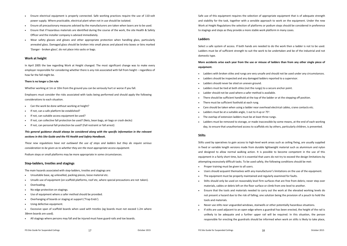- $\sim$  Ensure electrical equipment is properly connected. Safe working practices require the use of 110‐volt power supply. Where practicable, electrical plant when not in use should be isolated.
- $\mathbf{r}$ Ensure all precautionary measures advised by the manufacturers are taken when lasers are to be used.
- ٠ Ensure that if hazardous materials are identified during the course of the work, the site Health & Safety Officer and the installer company is advised immediately.
- ٠ Wear safety glasses and gloves and other appropriate protection when handling glass, particularly annealed glass. Damaged glass should be broken into small pieces and placed into boxes or bins marked 'Danger ‐ broken glass'; do not place into sacks or bags.

## **Work at height**

In April 2005 the law regarding Work at Height changed. The most significant change was to make every employer responsible for considering whether there is any risk associated with fall from height – regardless of how far the fall might be.

## **There is no longer <sup>a</sup> 2m rule**

Whether working at 1m or 10m from the ground you can be seriously hurt or worse if you fall.

Employers must consider the risks associated with tasks being performed and should apply the following considerations to each situation.

- $\bullet$ Can the work be done without working at height?
- ٠ If not, can <sup>a</sup> safe platform be established?
- If not, can suitable access equipment be used?
- ٠ If not, can collective fall protection be used? (Nets, bean bags, air bags or crash decks)
- If not, can personal fall protection be used? (Fall restraint or fall arrest)

# *This general guidance should always be considered along with the specific information in the relevant sections in this Site Guide and the FIS Health and Safety Handbook.*

*These new regulations have not outlawed the use of steps and ladders but they do require serious consideration to be given as to whether they are the most appropriate access equipment.*

Podium steps or small platforms may be more appropriate in some circumstances.

# **Step‐ladders, trestles and stagings**

The main hazards associated with step‐ladders, trestles and stagings are:

- $\bullet$ Unsuitable base, eg unlevelled, packing pieces, loose material etc.
- ٠ Unsafe use of equipment (on scaffold platforms, roof etc, where special precautions are not taken).
- ٠ Overloading.
- ٠ • No edge protection on stagings.
- $\sim$ Use of equipment where <sup>a</sup> safer method should be provided.
- ٠ Overhanging of boards or staging at support ('Trap Ends').
- ٠ Using defective equipment.
- ٠ Excessive span of scaffold boards when used with trestles (eg boards must not exceed 1.2m where 38mm boards are used).
- ٠ All stagings where persons may fall and be injured must have guard‐rails and toe boards.

Safe use of this equipment requires the selection of appropriate equipment that is of adequate strength and stability for the task, together with <sup>a</sup> sensible approach to work on the equipment. Under the new Work at Height Regulations the selection of platforms or podium steps should be considered in preference to stagings and steps as they provide <sup>a</sup> more stable work platform in many cases.

# **Ladders**

Select a safe system of access. If both hands are needed to do the work then <sup>a</sup> ladder is not to be used. Ladders must be of sufficient strength to suit the work to be undertaken and be of the industrial and not domestic type.

More accidents arise each year from the use or misuse of ladders than from any other single piece of **equipment.**

- Ladders with broken stiles and rungs are very unsafe and should not be used under any circumstances.
- Ladders should be inspected and any damaged ladders reported to <sup>a</sup> supervisor.
- ٠ Ladders should never be sited on uneven ground.
- ٠ Ladders must be tied at both stiles (not the rungs) to <sup>a</sup> secure anchor point.
- ٠ Ladder should not be used where <sup>a</sup> safer method is available.
- There should be sufficient handhold at the top of the ladder or at the stepping off position.
- There must be sufficient foothold at each rung.
- ٠ Care should be taken when using <sup>a</sup> ladder near overhead electrical cables, crane contacts etc.
- ٠ • Ladders must be at a suitable angle, 1 out to 4 up or  $75^\circ$ .
- The overlap of extension ladders must be at least three rungs.
- Ladders must be removed to storage, or made inaccessible by some means, at the end of each working day, to ensure that unauthorised access to scaffolds etc by others, particularly children, is prevented.

## **Stilts**

Stilts used by operatives to gain access to high‐level work areas such as ceiling fixing, are usually supplied in fixed or variable length versions made from durable lightweight material such as aluminium and nylon and designed to allow normal walking action. It is possible to become competent in the use of this equipment in <sup>a</sup> fairly short time, but it is essential that users do not try to exceed the design limitations by attempting excessively difficult tasks. To be used safely, the following conditions should be met:

- Proper training must be given to all users.
- ۰ Users should acquaint themselves with any manufacturer's limitations on the use of the equipment.
- The equipment must be properly maintained and regularly examined for faults.
- ۰ • Stilts should only be used on reasonably level firm surfaces that are free from debris; never step over materials, cables or debris left on the floor surface or climb from one level to another.
- ۰ Ensure that the tools and materials needed to carry out the work at the elevated working levels do not present <sup>a</sup> hazard due to the risk of falling; one solution being the provision of <sup>a</sup> pouch to hold the tools and materials.
- Never use stilts near unguarded windows, stairwells or other potentially hazardous situations.
- ۰ If stilts are used adjacent to an open edge where <sup>a</sup> guardrail has been erected, the height of the rail is unlikely to be adequate and <sup>a</sup> further upper rail will be required. In this situation, the person responsible for erecting the guardrails should be informed when work on stilts is likely to take place,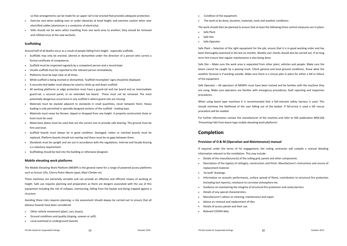so that arrangements can be made for an upper rail to be erected that provides adequate protection.

- Exercise care when walking near or under obstacles at head height, and extreme caution when near electrified cables (aluminium is <sup>a</sup> conductor of electricity).
- ٠ • Stilts should not be worn when travelling from one work area to another; they should be removed and refitted once at the new worksite.

# **Scaffolding**

Around half of all deaths occur as <sup>a</sup> result of people falling from height ‐ especially scaffolds.

- $\bullet$  Scaffolds may only be erected, altered or dismantled under the direction of <sup>a</sup> person who carries <sup>a</sup> formal certificate of competence.
- $\bullet$ Scaffold must be inspected regularly by <sup>a</sup> competent person and <sup>a</sup> record kept.
- ٠ Unsafe scaffold must be reported to the relevant person immediately.
- $\mathbf{r}$ Platforms must be kept clear at all times.
- $\ddot{\phantom{a}}$ While scaffold is being erected or dismantled, 'Scaffold Incomplete' signs should be displayed.
- A securely tied ladder must always be used to climb up and down scaffold.
- All working platforms or edge protection must have a guard-rail and toe board and an intermediate guard‐rail, <sup>a</sup> secured panel, or an extended toe board. These must not be removed. The most potentially dangerous occurrence in any scaffold is where guard rails are missing.
- Materials must be stacked adjacent to standards in small quantities, never between them. Heavy loading is only permitted in specially designed sections of the scaffold ‐ loading bays.
- Materials must never be thrown, tipped or dropped from any height. A properly constructed chute or hoist must be used.
- Metal base plates must be used that are the correct size to provide safe bearing. The ground must be firm and level.
- Scaffold boards must always be in good condition. Damaged, rotten or notched boards must be replaced. Platform boards should not overlap and there must be no gaps between them.
- Standards must be upright and set out in accordance with the regulations. Internal and facade bracing is a statutory requirement.
- Scaffolding should be tied into the building or otherwise designed.

#### **Mobile elevating work platforms**

The Mobile Elevating Work Platform (MEWP) is the general name for <sup>a</sup> range of powered access platforms such as Scissor Lifts, Cherry Picker (Boom type), Mast Climber etc.

These machines are extremely versatile and can provide an effective and efficient means of working at height. Safe use requires planning and preparation as there are dangers associated with the use of this equipment including the risk of collapse, overturning, falling from the basket and being trapped against <sup>a</sup> structure

Avoiding these risks requires planning; <sup>a</sup> risk assessment should always be carried out to ensure that all obvious hazards have been considered:

- $\sim$ Other vehicle movement (plant, cars, buses).
- ۰ Ground conditions and quality (sloping, uneven or soft).
- ۰ Local overhead or underground hazards.
- Condition of the equipment.
- The work to be done, duration, materials, tools and weather conditions.

The work should then be planned to ensure that at least the following three control measures are in place:

- Safe Plant
- Safe Site
- Safe Operator

Safe Plant – Selection of the right equipment for the job, ensure that it is in good working order and has been thoroughly examined in the last six months. Weekly user checks should also be carried out. If on long term hire ensure that regular maintenance is also being done.

Safe Site – Make sure the work area is separated from other plant, vehicles and people. Make sure the boom cannot be caught by <sup>a</sup> passing truck. Check general and local ground conditions. Know what the weather forecast is if working outside. Make sure there is <sup>a</sup> rescue plan in place for either <sup>a</sup> fall or failure of the equipment.

Safe Operator – All operators of MEWPs must have been trained and be familiar with the machine they are using. Make sure operators are familiar with emergency procedures, fault reporting and inspection procedures.

When using boom type machines it is recommended that <sup>a</sup> fall‐restraint safety harness is used. This should minimise the likelihood of the user falling out of the basket. If fall‐arrest is used <sup>a</sup> fall rescue procedure will be needed.

For further information contact the manufacturer of the machine and refer to HSE publication MISC164 'Preventing Falls from boom‐type mobile elevating work platforms'.

# **Completion**

## **Provision of O & M (Operation and Maintenance) manual**

If required under the terms of his engagement, the ceiling contractor will compile <sup>a</sup> manual detailing information relevant to the installation. This may include:

- Details of the manufacturer(s) of the ceiling grid, panels and other components.
- Description of the type(s) of ceiling(s), construction and finish. Manufacturer's instructions and source of replacement material.
- 'As built' drawings.
- Information on acoustic performance, surface spread of flame, contribution to structural fire protection (including test reports), resistance to corrosive atmosphere etc.
- Guidance on maintaining the integrity of structural fire protection and cavity barriers.
- ۰ Details of any special characteristics.
- Manufacturer's advice on cleaning, maintenance and repair.
- Advice on removal and replacement of tiles.
- ٠ Details of access panels and their use.
- Relevant COSHH data.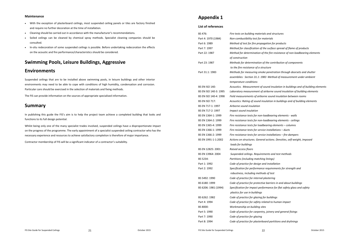#### **Maintenance**

- With the exception of plasterboard ceilings, most suspended ceiling panels or tiles are factory finished and require no further decoration at the time of installation.
- $\bullet$ Cleaning should be carried out in accordance with the manufacturer's recommendations.
- Soiled ceilings can be cleaned by chemical spray methods. Specialist cleaning companies should be consulted.
- In-situ redecoration of some suspended ceilings is possible. Before undertaking redecoration the effects on the acoustic and fire performance/characteristics should be considered.

# **Swimming Pools, Leisure Buildings, Aggressive**

# **Environments**

Suspended ceilings that are to be installed above swimming pools, in leisure buildings and other interior environments may need to be able to cope with conditions of high humidity, condensation and corrosion. Particular care should be exercised in the selection of materials and fixing methods.

The FIS can provide information on the sources of appropriate specialised information.

# **Summary**

In publishing this guide the FIS's aim is to help the project team achieve <sup>a</sup> completed building that looks and functions to its full design potential.

Whilst being only one of the many specialist trades involved, suspended ceilings have <sup>a</sup> disproportionate impact on the progress of the programme. The early appointment of <sup>a</sup> specialist suspended ceiling contractor who has the necessary experience and resources to achieve satisfactory completion is therefore of major importance.

Contractor membership of FIS will be <sup>a</sup> significant indicator of <sup>a</sup> contractor's suitability.

# **Appendix 1**

#### **List of references**

| BS 476:               | Fire tests on building materials and structures                                  |
|-----------------------|----------------------------------------------------------------------------------|
| Part 4: 1970 (1984)   | Non-combustibility test for materials                                            |
| Part 6: 1989          | Method of test for fire propagation for products                                 |
| Part 7: 1997          | Method for classification of the surface spread of flame of products             |
| Part 22: 1987         | Method for determination of the fire resistance of non-loadbearing elements      |
|                       | of construction                                                                  |
| Part 23: 1987         | Methods for determination of the contribution of components                      |
|                       | to the fire resistance of a structure                                            |
| Part 31.1: 1983       | Methods for measuring smoke penetration through doorsets and shutter             |
|                       | assemblies: Section 31.1: 1983 Method of measurement under ambient               |
|                       | temperature conditions                                                           |
| <b>BS EN ISO 140:</b> | Acoustics. Measurement of sound insulation in buildings and of building elements |
| BS EN ISO 140-3: 1995 | Laboratory measurement of airborne sound insulation of building elements         |
| BS EN ISO 140-4: 1998 | Field measurements of airborne sound insulation between rooms                    |
| <b>BS EN ISO 717:</b> | Acoustics: Rating of sound insulation in buildings and of building elements      |
| BS EN 717-1: 1997     | Airborne sound insulation                                                        |
| BS EN 717-2: 1997     | Impact sound insulation                                                          |
| BS EN 1364-1: 1999    | Fire resistance tests for non-loadbearing elements - walls                       |
| BS EN 1364-2: 1999    | Fire resistance tests for non-loadbearing elements - ceilings                    |
| BS EN 1365-4: 1999    | Fire resistance tests for loadbearing elements - columns                         |
| BS EN 1366-1: 1999    | Fire resistance tests for service installations - ducts                          |
| BS EN 1366-2: 1999    | Fire resistance tests for service installations - fire dampers                   |
| BS EN 1991-1-1:2002   | Actions on structures. General actions. Densities, self-weight, imposed          |
|                       | loads for buildings                                                              |
| BS EN 12825: 2001     | Raised access floors                                                             |
| BS EN 13964: 2004     | Suspended ceilings. Requirements and test methods                                |
| BS 5234:              | Partitions (including matching linings)                                          |
| Part 1: 1992          | Code of practice for design and installation                                     |
| Part 2: 1992          | Specification for performance requirements for strength and                      |
|                       | robustness, including methods of test                                            |
| BS 5492: 1990         | Code of practice for internal plastering                                         |
| BS 6180: 1999         | Code of practice for protective barriers in and about buildings                  |
| BS 6206: 1981 (1994)  | Specification for impact performance for flat safety glass and safety            |
|                       | plastics for use in buildings                                                    |
| BS 6262: 1982         | Code of practice for glazing for buildings                                       |
| Part 4: 1994          | Code of practice for safety related to human impact                              |
| BS 8000:              | Workmanship on building sites                                                    |
| Part 5: 1990          | Code of practice for carpentry, joinery and general fixings                      |
| Part 7: 1990          | Code of practice for glazing                                                     |
| Part 8: 1994          | Code of practice for plasterboard partitions and drylinings                      |
|                       |                                                                                  |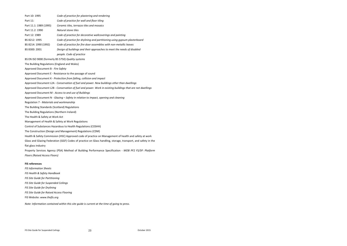Part 10: 1995 *Code of practice for plastering and rendering* Part 11: 11: *Code of practice for wall and floor tiling* Part 11.1: 1989 (1995) *Ceramic tiles, terrazzo tiles and mosaics* Part 11.2: 1990 *Natural stone tiles* Part 12: 1989 *Code of practice for decorative wallcoverings and painting* BS 8212: 1995 *Code of practice for drylining and partitioning using gypsum plasterboard* BS 8214: 1990 (1992) *Code of practice for fire door assemblies with non‐metallic leaves* BS 8300: 2001 *Design of buildings and their approaches to meet the needs of disabled people. Code of practice* BS EN ISO 9000 (formerly BS 5750) *Quality systems* The Building Regulations (England and Wales) Approved Document B ‐ *Fire Safety* Approved Document E ‐ Resistance to the passage of sound Approved Document K ‐ *Protection from falling, collision and impact* Approved Document L2A ‐ *Conservation of fuel and power. New buildings other than dwellings* Approved Document L2B ‐ *Conservation of fuel and power. Work in existing buildings that are not dwellings* Approved Document M ‐ *Access to and use of Buildings* Approved Document N ‐ *Glazing – Safety in relation to impact, opening and cleaning* Regulation 7 ‐ *Materials and workmanship* The Building Standards (Scotland) Regulations The Building Regulations (Northern Ireland) The Health & Safety at Work Act Management of Health & Safety at Work Regulations Control of Substances Hazardous to Health Regulations (COSHH) The Construction (Design and Management) Regulations (CDM) Health & Safety Commission (HSC) Approved code of practice on Management of health and safety at work Glass and Glazing Federation (GGF) Codes of practice on Glass handling, storage, transport, and safety in the flat glass industry Property Services Agency (PSA) Method of Building Performance Specification ‐ *MOB PF2 FS/SP: Platform Floors (Raised Access Floors)*

#### **FIS references**

*FIS Information Sheets FIS Health & Safety Handbook FIS Site Guide for Partitioning FIS Site Guide for Suspended Ceilings FIS Site Guide for Drylining FIS Site Guide for Raised Access Flooring* FIS Website: *www.thefis.org*

*Note: Information contained within this site guide is current at the time of going to press.*